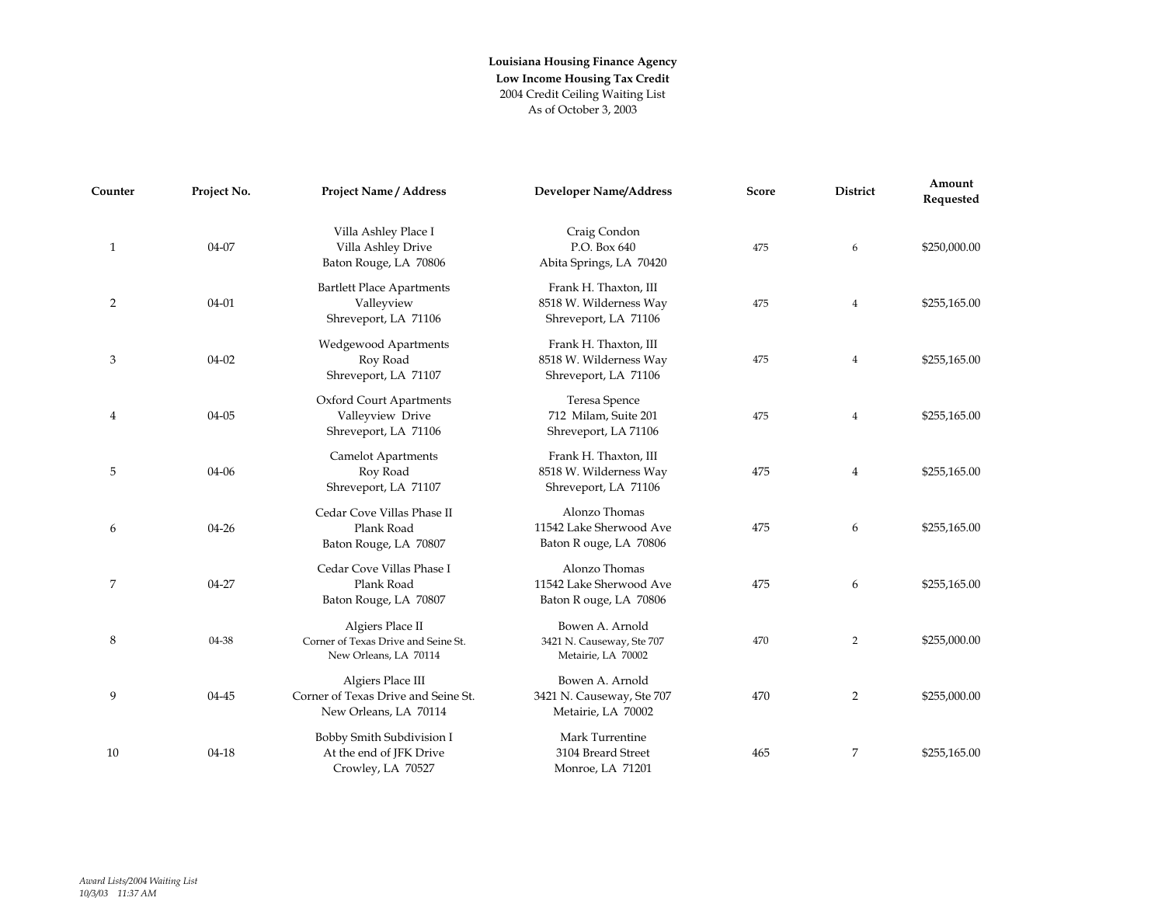| Counter        | Project No. | <b>Project Name / Address</b>                                                     | <b>Developer Name/Address</b>                                           | Score | <b>District</b> | Amount<br>Requested |
|----------------|-------------|-----------------------------------------------------------------------------------|-------------------------------------------------------------------------|-------|-----------------|---------------------|
| $\mathbf{1}$   | 04-07       | Villa Ashley Place I<br>Villa Ashley Drive<br>Baton Rouge, LA 70806               | Craig Condon<br>P.O. Box 640<br>Abita Springs, LA 70420                 | 475   | 6               | \$250,000.00        |
| 2              | $04 - 01$   | <b>Bartlett Place Apartments</b><br>Valleyview<br>Shreveport, LA 71106            | Frank H. Thaxton, III<br>8518 W. Wilderness Way<br>Shreveport, LA 71106 | 475   | $\overline{4}$  | \$255,165.00        |
| 3              | $04 - 02$   | <b>Wedgewood Apartments</b><br>Roy Road<br>Shreveport, LA 71107                   | Frank H. Thaxton, III<br>8518 W. Wilderness Way<br>Shreveport, LA 71106 | 475   | 4               | \$255,165.00        |
| $\overline{4}$ | 04-05       | Oxford Court Apartments<br>Valleyview Drive<br>Shreveport, LA 71106               | Teresa Spence<br>712 Milam, Suite 201<br>Shreveport, LA 71106           | 475   | 4               | \$255,165.00        |
| 5              | $04 - 06$   | <b>Camelot Apartments</b><br>Roy Road<br>Shreveport, LA 71107                     | Frank H. Thaxton, III<br>8518 W. Wilderness Way<br>Shreveport, LA 71106 | 475   | 4               | \$255,165.00        |
| 6              | $04 - 26$   | Cedar Cove Villas Phase II<br>Plank Road<br>Baton Rouge, LA 70807                 | Alonzo Thomas<br>11542 Lake Sherwood Ave<br>Baton R ouge, LA 70806      | 475   | 6               | \$255,165.00        |
| 7              | 04-27       | Cedar Cove Villas Phase I<br>Plank Road<br>Baton Rouge, LA 70807                  | Alonzo Thomas<br>11542 Lake Sherwood Ave<br>Baton R ouge, LA 70806      | 475   | 6               | \$255,165.00        |
| 8              | 04-38       | Algiers Place II<br>Corner of Texas Drive and Seine St.<br>New Orleans, LA 70114  | Bowen A. Arnold<br>3421 N. Causeway, Ste 707<br>Metairie, LA 70002      | 470   | 2               | \$255,000.00        |
| 9              | 04-45       | Algiers Place III<br>Corner of Texas Drive and Seine St.<br>New Orleans, LA 70114 | Bowen A. Arnold<br>3421 N. Causeway, Ste 707<br>Metairie, LA 70002      | 470   | 2               | \$255,000.00        |
| 10             | $04 - 18$   | Bobby Smith Subdivision I<br>At the end of JFK Drive<br>Crowley, LA 70527         | Mark Turrentine<br>3104 Breard Street<br>Monroe, LA 71201               | 465   | 7               | \$255,165.00        |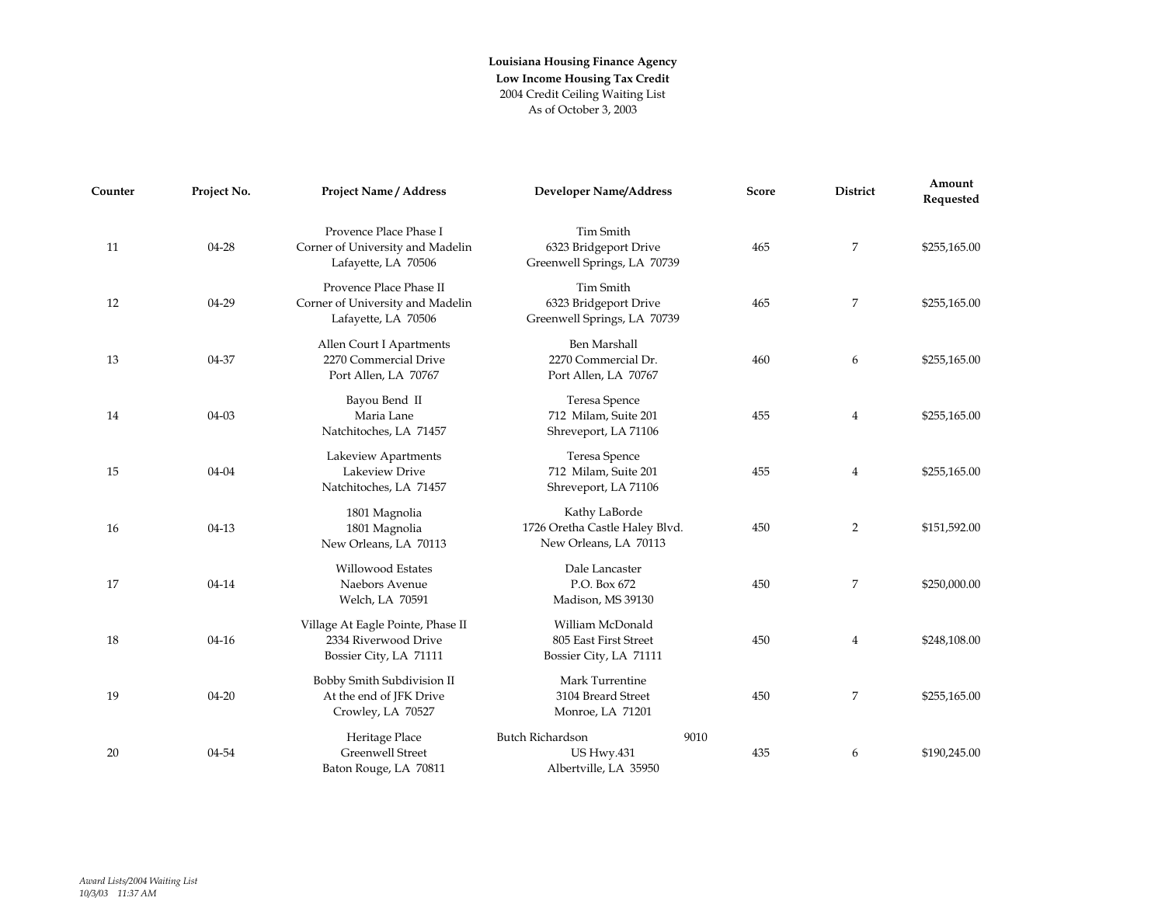| Counter | Project No. | <b>Project Name / Address</b>                                                       | <b>Developer Name/Address</b>                                            | Score       | District       | Amount<br>Requested |
|---------|-------------|-------------------------------------------------------------------------------------|--------------------------------------------------------------------------|-------------|----------------|---------------------|
| 11      | $04 - 28$   | Provence Place Phase I<br>Corner of University and Madelin<br>Lafayette, LA 70506   | Tim Smith<br>6323 Bridgeport Drive<br>Greenwell Springs, LA 70739        | 465         | 7              | \$255,165.00        |
| 12      | 04-29       | Provence Place Phase II<br>Corner of University and Madelin<br>Lafayette, LA 70506  | Tim Smith<br>6323 Bridgeport Drive<br>Greenwell Springs, LA 70739        | 465         | 7              | \$255,165.00        |
| 13      | 04-37       | Allen Court I Apartments<br>2270 Commercial Drive<br>Port Allen, LA 70767           | Ben Marshall<br>2270 Commercial Dr.<br>Port Allen, LA 70767              | 460         | 6              | \$255,165.00        |
| 14      | $04-03$     | Bayou Bend II<br>Maria Lane<br>Natchitoches, LA 71457                               | Teresa Spence<br>712 Milam, Suite 201<br>Shreveport, LA 71106            | 455         | 4              | \$255,165.00        |
| 15      | $04 - 04$   | Lakeview Apartments<br>Lakeview Drive<br>Natchitoches, LA 71457                     | Teresa Spence<br>712 Milam, Suite 201<br>Shreveport, LA 71106            | 455         | 4              | \$255,165.00        |
| 16      | $04-13$     | 1801 Magnolia<br>1801 Magnolia<br>New Orleans, LA 70113                             | Kathy LaBorde<br>1726 Oretha Castle Haley Blvd.<br>New Orleans, LA 70113 | 450         | $\overline{2}$ | \$151,592.00        |
| 17      | 04-14       | <b>Willowood Estates</b><br>Naebors Avenue<br>Welch, LA 70591                       | Dale Lancaster<br>P.O. Box 672<br>Madison, MS 39130                      | 450         | 7              | \$250,000.00        |
| 18      | $04 - 16$   | Village At Eagle Pointe, Phase II<br>2334 Riverwood Drive<br>Bossier City, LA 71111 | William McDonald<br>805 East First Street<br>Bossier City, LA 71111      | 450         | 4              | \$248,108.00        |
| 19      | $04 - 20$   | Bobby Smith Subdivision II<br>At the end of JFK Drive<br>Crowley, LA 70527          | Mark Turrentine<br>3104 Breard Street<br>Monroe, LA 71201                | 450         | 7              | \$255,165.00        |
| 20      | 04-54       | Heritage Place<br><b>Greenwell Street</b><br>Baton Rouge, LA 70811                  | <b>Butch Richardson</b><br><b>US Hwy.431</b><br>Albertville, LA 35950    | 9010<br>435 | 6              | \$190,245.00        |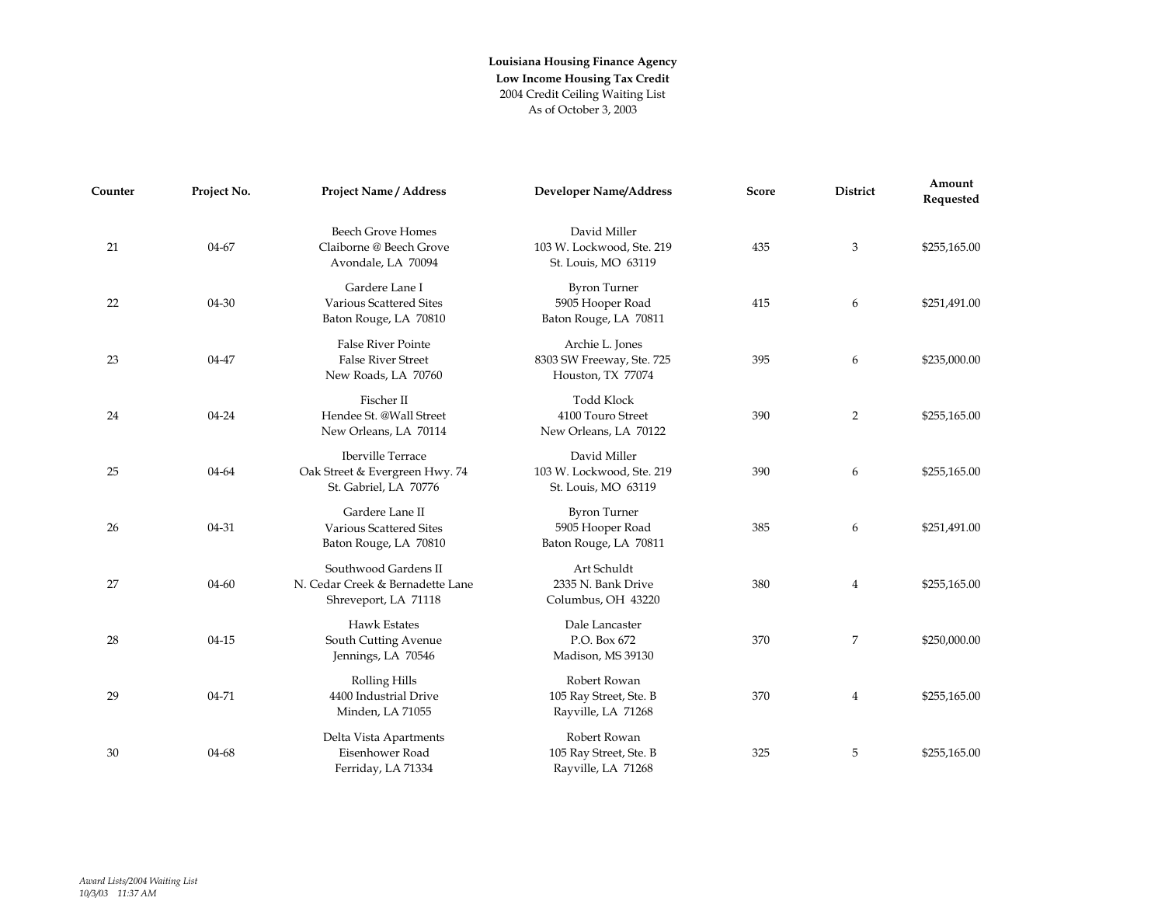| Counter | Project No. | <b>Project Name / Address</b>                                                       | <b>Developer Name/Address</b>                                     | Score | <b>District</b> | Amount<br>Requested |
|---------|-------------|-------------------------------------------------------------------------------------|-------------------------------------------------------------------|-------|-----------------|---------------------|
| 21      | 04-67       | <b>Beech Grove Homes</b><br>Claiborne @ Beech Grove<br>Avondale, LA 70094           | David Miller<br>103 W. Lockwood, Ste. 219<br>St. Louis, MO 63119  | 435   | 3               | \$255,165.00        |
| 22      | 04-30       | Gardere Lane I<br>Various Scattered Sites<br>Baton Rouge, LA 70810                  | <b>Byron Turner</b><br>5905 Hooper Road<br>Baton Rouge, LA 70811  | 415   | 6               | \$251,491.00        |
| 23      | 04-47       | <b>False River Pointe</b><br><b>False River Street</b><br>New Roads, LA 70760       | Archie L. Jones<br>8303 SW Freeway, Ste. 725<br>Houston, TX 77074 | 395   | 6               | \$235,000.00        |
| 24      | 04-24       | Fischer II<br>Hendee St. @Wall Street<br>New Orleans, LA 70114                      | <b>Todd Klock</b><br>4100 Touro Street<br>New Orleans, LA 70122   | 390   | 2               | \$255,165.00        |
| 25      | 04-64       | <b>Iberville Terrace</b><br>Oak Street & Evergreen Hwy. 74<br>St. Gabriel, LA 70776 | David Miller<br>103 W. Lockwood, Ste. 219<br>St. Louis, MO 63119  | 390   | 6               | \$255,165.00        |
| 26      | 04-31       | Gardere Lane II<br>Various Scattered Sites<br>Baton Rouge, LA 70810                 | <b>Byron Turner</b><br>5905 Hooper Road<br>Baton Rouge, LA 70811  | 385   | 6               | \$251,491.00        |
| 27      | 04-60       | Southwood Gardens II<br>N. Cedar Creek & Bernadette Lane<br>Shreveport, LA 71118    | Art Schuldt<br>2335 N. Bank Drive<br>Columbus, OH 43220           | 380   | 4               | \$255,165.00        |
| 28      | $04 - 15$   | <b>Hawk Estates</b><br>South Cutting Avenue<br>Jennings, LA 70546                   | Dale Lancaster<br>P.O. Box 672<br>Madison, MS 39130               | 370   | 7               | \$250,000.00        |
| 29      | 04-71       | <b>Rolling Hills</b><br>4400 Industrial Drive<br>Minden, LA 71055                   | Robert Rowan<br>105 Ray Street, Ste. B<br>Rayville, LA 71268      | 370   | 4               | \$255,165.00        |
| 30      | 04-68       | Delta Vista Apartments<br>Eisenhower Road<br>Ferriday, LA 71334                     | Robert Rowan<br>105 Ray Street, Ste. B<br>Rayville, LA 71268      | 325   | 5               | \$255,165.00        |